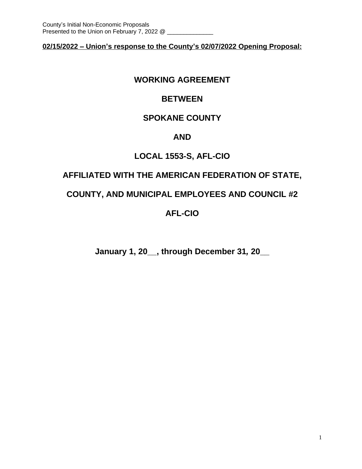**02/15/2022 – Union's response to the County's 02/07/2022 Opening Proposal:**

# **WORKING AGREEMENT**

# **BETWEEN**

# **SPOKANE COUNTY**

# **AND**

# **LOCAL 1553-S, AFL-CIO**

# **AFFILIATED WITH THE AMERICAN FEDERATION OF STATE,**

# **COUNTY, AND MUNICIPAL EMPLOYEES AND COUNCIL #2**

# **AFL-CIO**

**January 1, 20\_\_, through December 31***,* **20\_\_**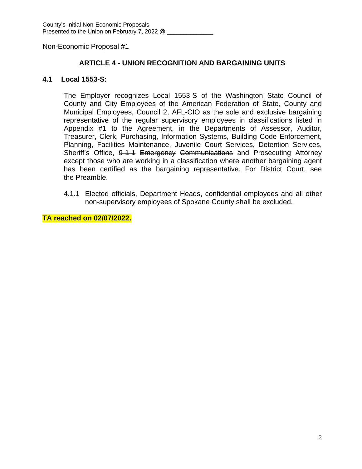## **ARTICLE 4 - UNION RECOGNITION AND BARGAINING UNITS**

#### **4.1 Local 1553-S:**

The Employer recognizes Local 1553-S of the Washington State Council of County and City Employees of the American Federation of State, County and Municipal Employees, Council 2, AFL-CIO as the sole and exclusive bargaining representative of the regular supervisory employees in classifications listed in Appendix #1 to the Agreement, in the Departments of Assessor, Auditor, Treasurer, Clerk, Purchasing, Information Systems, Building Code Enforcement, Planning, Facilities Maintenance, Juvenile Court Services, Detention Services, Sheriff's Office, 9-1-1 Emergency Communications and Prosecuting Attorney except those who are working in a classification where another bargaining agent has been certified as the bargaining representative. For District Court, see the Preamble.

4.1.1 Elected officials, Department Heads, confidential employees and all other non-supervisory employees of Spokane County shall be excluded.

**TA reached on 02/07/2022.**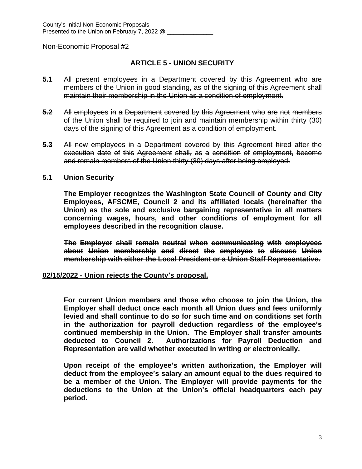## **ARTICLE 5 - UNION SECURITY**

- **5.1** All present employees in a Department covered by this Agreement who are members of the Union in good standing, as of the signing of this Agreement shall maintain their membership in the Union as a condition of employment.
- **5.2** All employees in a Department covered by this Agreement who are not members of the Union shall be required to join and maintain membership within thirty (30) days of the signing of this Agreement as a condition of employment.
- **5.3** All new employees in a Department covered by this Agreement hired after the execution date of this Agreement shall, as a condition of employment, become and remain members of the Union thirty (30) days after being employed.
- **5.1 Union Security**

**The Employer recognizes the Washington State Council of County and City Employees, AFSCME, Council 2 and its affiliated locals (hereinafter the Union) as the sole and exclusive bargaining representative in all matters concerning wages, hours, and other conditions of employment for all employees described in the recognition clause.**

**The Employer shall remain neutral when communicating with employees about Union membership and direct the employee to discuss Union membership with either the Local President or a Union Staff Representative.**

#### **02/15/2022 - Union rejects the County's proposal.**

**For current Union members and those who choose to join the Union, the Employer shall deduct once each month all Union dues and fees uniformly levied and shall continue to do so for such time and on conditions set forth in the authorization for payroll deduction regardless of the employee's continued membership in the Union. The Employer shall transfer amounts deducted to Council 2. Authorizations for Payroll Deduction and Representation are valid whether executed in writing or electronically.** 

**Upon receipt of the employee's written authorization, the Employer will deduct from the employee's salary an amount equal to the dues required to be a member of the Union. The Employer will provide payments for the deductions to the Union at the Union's official headquarters each pay period.**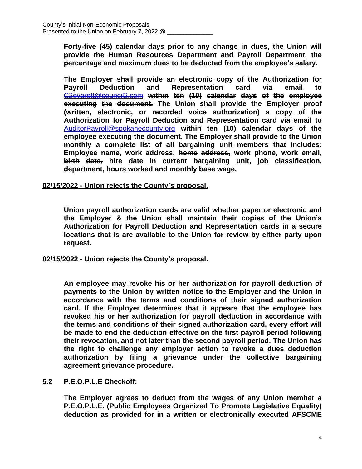**Forty-five (45) calendar days prior to any change in dues, the Union will provide the Human Resources Department and Payroll Department, the percentage and maximum dues to be deducted from the employee's salary.** 

**The Employer shall provide an electronic copy of the Authorization for Payroll Deduction and Representation card via email to** [C2everett@council2.com](mailto:C2everett@council2.com) **within ten (10) calendar days of the employee executing the document. The Union shall provide the Employer proof (written, electronic, or recorded voice authorization) a copy of the Authorization for Payroll Deduction and Representation card via email to** [AuditorPayroll@spokanecounty.org](mailto:AuditorPayroll@spokanecounty.org) **within ten (10) calendar days of the employee executing the document. The Employer shall provide to the Union monthly a complete list of all bargaining unit members that includes: Employee name, work address, home address, work phone, work email, birth date, hire date in current bargaining unit, job classification, department, hours worked and monthly base wage.**

#### **02/15/2022 - Union rejects the County's proposal.**

**Union payroll authorization cards are valid whether paper or electronic and the Employer & the Union shall maintain their copies of the Union's Authorization for Payroll Deduction and Representation cards in a secure locations that is are available to the Union for review by either party upon request.** 

#### **02/15/2022 - Union rejects the County's proposal.**

**An employee may revoke his or her authorization for payroll deduction of payments to the Union by written notice to the Employer and the Union in accordance with the terms and conditions of their signed authorization card. If the Employer determines that it appears that the employee has revoked his or her authorization for payroll deduction in accordance with the terms and conditions of their signed authorization card, every effort will be made to end the deduction effective on the first payroll period following their revocation, and not later than the second payroll period. The Union has the right to challenge any employer action to revoke a dues deduction authorization by filing a grievance under the collective bargaining agreement grievance procedure.**

#### **5.2 P.E.O.P.L.E Checkoff:**

**The Employer agrees to deduct from the wages of any Union member a P.E.O.P.L.E. (Public Employees Organized To Promote Legislative Equality) deduction as provided for in a written or electronically executed AFSCME**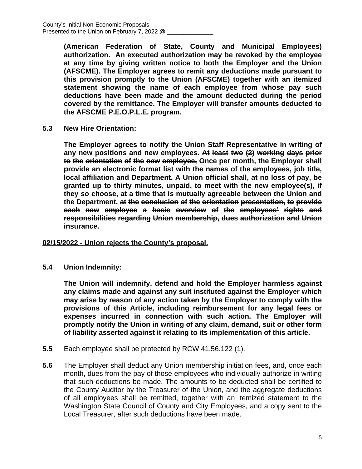**(American Federation of State, County and Municipal Employees) authorization. An executed authorization may be revoked by the employee at any time by giving written notice to both the Employer and the Union (AFSCME). The Employer agrees to remit any deductions made pursuant to this provision promptly to the Union (AFSCME) together with an itemized statement showing the name of each employee from whose pay such deductions have been made and the amount deducted during the period covered by the remittance. The Employer will transfer amounts deducted to the AFSCME P.E.O.P.L.E. program.**

**5.3 New Hire Orientation:**

**The Employer agrees to notify the Union Staff Representative in writing of any new positions and new employees. At least two (2) working days prior to the orientation of the new employee, Once per month, the Employer shall provide an electronic format list with the names of the employees, job title, local affiliation and Department. A Union official shall, at no loss of pay, be granted up to thirty minutes, unpaid, to meet with the new employee(s), if they so choose, at a time that is mutually agreeable between the Union and the Department. at the conclusion of the orientation presentation, to provide each new employee a basic overview of the employees' rights and responsibilities regarding Union membership, dues authorization and Union insurance.**

#### **02/15/2022 - Union rejects the County's proposal.**

**5.4 Union Indemnity:**

**The Union will indemnify, defend and hold the Employer harmless against any claims made and against any suit instituted against the Employer which may arise by reason of any action taken by the Employer to comply with the provisions of this Article, including reimbursement for any legal fees or expenses incurred in connection with such action. The Employer will promptly notify the Union in writing of any claim, demand, suit or other form of liability asserted against it relating to its implementation of this article.**

- **5.5** Each employee shall be protected by RCW 41.56.122 (1).
- **5.6** The Employer shall deduct any Union membership initiation fees, and, once each month, dues from the pay of those employees who individually authorize in writing that such deductions be made. The amounts to be deducted shall be certified to the County Auditor by the Treasurer of the Union, and the aggregate deductions of all employees shall be remitted, together with an itemized statement to the Washington State Council of County and City Employees, and a copy sent to the Local Treasurer, after such deductions have been made.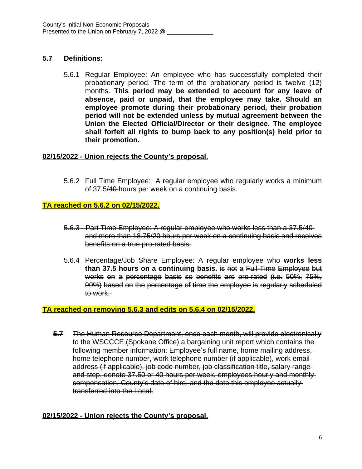# **5.7 Definitions:**

5.6.1 Regular Employee: An employee who has successfully completed their probationary period. The term of the probationary period is twelve (12) months. **This period may be extended to account for any leave of absence, paid or unpaid, that the employee may take. Should an employee promote during their probationary period, their probation period will not be extended unless by mutual agreement between the Union the Elected Official/Director or their designee. The employee shall forfeit all rights to bump back to any position(s) held prior to their promotion.**

# **02/15/2022 - Union rejects the County's proposal.**

5.6.2 Full Time Employee: A regular employee who regularly works a minimum of 37.5/40 hours per week on a continuing basis.

# **TA reached on 5.6.2 on 02/15/2022.**

- 5.6.3 Part Time Employee: A regular employee who works less than a 37.5/40 and more than 18.75/20 hours per week on a continuing basis and receives benefits on a true pro-rated basis.
- 5.6.4 Percentage/Job Share Employee: A regular employee who **works less than 37.5 hours on a continuing basis.** is not a Full-Time Employee but works on a percentage basis so benefits are pro-rated (i.e. 50%, 75%, 90%) based on the percentage of time the employee is regularly scheduled to work.

# **TA reached on removing 5.6.3 and edits on 5.6.4 on 02/15/2022.**

**5.7** The Human Resource Department, once each month, will provide electronically to the WSCCCE (Spokane Office) a bargaining unit report which contains the following member information: Employee's full name, home mailing address, home telephone number, work telephone number (if applicable), work email address (if applicable), job code number, job classification title, salary range and step, denote 37.50 or 40 hours per week, employees hourly and monthly compensation, County's date of hire, and the date this employee actually transferred into the Local.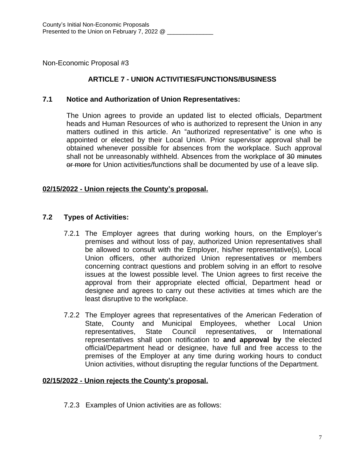# **ARTICLE 7 - UNION ACTIVITIES/FUNCTIONS/BUSINESS**

#### **7.1 Notice and Authorization of Union Representatives:**

The Union agrees to provide an updated list to elected officials, Department heads and Human Resources of who is authorized to represent the Union in any matters outlined in this article. An "authorized representative" is one who is appointed or elected by their Local Union. Prior supervisor approval shall be obtained whenever possible for absences from the workplace. Such approval shall not be unreasonably withheld. Absences from the workplace of 30 minutes or more for Union activities/functions shall be documented by use of a leave slip.

#### **02/15/2022 - Union rejects the County's proposal.**

#### **7.2 Types of Activities:**

- 7.2.1 The Employer agrees that during working hours, on the Employer's premises and without loss of pay, authorized Union representatives shall be allowed to consult with the Employer, his/her representative(s), Local Union officers, other authorized Union representatives or members concerning contract questions and problem solving in an effort to resolve issues at the lowest possible level. The Union agrees to first receive the approval from their appropriate elected official, Department head or designee and agrees to carry out these activities at times which are the least disruptive to the workplace.
- 7.2.2 The Employer agrees that representatives of the American Federation of State, County and Municipal Employees, whether Local Union representatives, State Council representatives, or International representatives shall upon notification to **and approval by** the elected official/Department head or designee, have full and free access to the premises of the Employer at any time during working hours to conduct Union activities, without disrupting the regular functions of the Department.

#### **02/15/2022 - Union rejects the County's proposal.**

7.2.3 Examples of Union activities are as follows: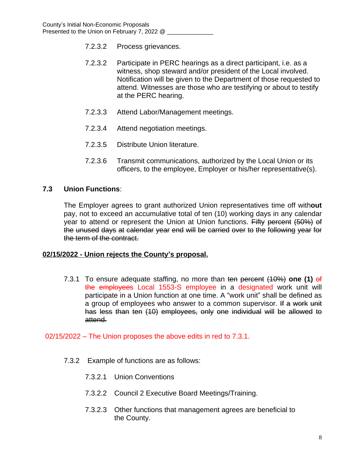- 7.2.3.2 Process grievances.
- 7.2.3.2 Participate in PERC hearings as a direct participant, i.e. as a witness, shop steward and/or president of the Local involved. Notification will be given to the Department of those requested to attend. Witnesses are those who are testifying or about to testify at the PERC hearing.
- 7.2.3.3 Attend Labor/Management meetings.
- 7.2.3.4 Attend negotiation meetings.
- 7.2.3.5 Distribute Union literature.
- 7.2.3.6 Transmit communications, authorized by the Local Union or its officers, to the employee, Employer or his/her representative(s).

#### **7.3 Union Functions**:

The Employer agrees to grant authorized Union representatives time off with**out** pay, not to exceed an accumulative total of ten (10) working days in any calendar year to attend or represent the Union at Union functions. Fifty percent (50%) of the unused days at calendar year end will be carried over to the following year for the term of the contract.

#### **02/15/2022 - Union rejects the County's proposal.**

7.3.1 To ensure adequate staffing, no more than ten percent (10%) **one (1)** of the employees Local 1553-S employee in a designated work unit will participate in a Union function at one time. A "work unit" shall be defined as a group of employees who answer to a common supervisor. If a work unit has less than ten (10) employees, only one individual will be allowed to attend.

02/15/2022 – The Union proposes the above edits in red to 7.3.1.

- 7.3.2 Example of functions are as follows:
	- 7.3.2.1 Union Conventions
	- 7.3.2.2 Council 2 Executive Board Meetings/Training.
	- 7.3.2.3 Other functions that management agrees are beneficial to the County.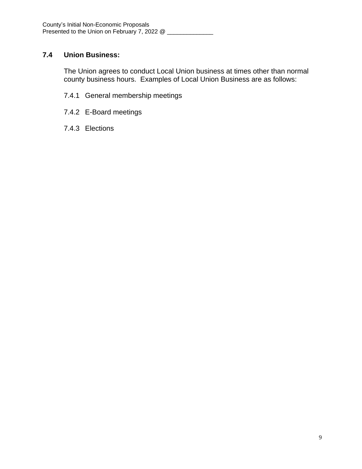# **7.4 Union Business:**

The Union agrees to conduct Local Union business at times other than normal county business hours. Examples of Local Union Business are as follows:

- 7.4.1 General membership meetings
- 7.4.2 E-Board meetings
- 7.4.3 Elections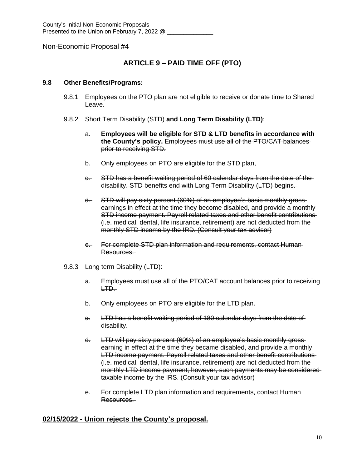# **ARTICLE 9 – PAID TIME OFF (PTO)**

#### **9.8 Other Benefits/Programs:**

- 9.8.1 Employees on the PTO plan are not eligible to receive or donate time to Shared Leave.
- 9.8.2 Short Term Disability (STD) **and Long Term Disability (LTD)**:
	- a. **Employees will be eligible for STD & LTD benefits in accordance with the County's policy.** Employees must use all of the PTO/CAT balances prior to receiving STD.
	- b. Only employees on PTO are eligible for the STD plan,
	- c. STD has a benefit waiting period of 60 calendar days from the date of the disability. STD benefits end with Long Term Disability (LTD) begins.
	- d. STD will pay sixty percent (60%) of an employee's basic monthly gross earnings in effect at the time they become disabled, and provide a monthly STD income payment. Payroll related taxes and other benefit contributions (i.e. medical, dental, life insurance, retirement) are not deducted from the monthly STD income by the IRD. (Consult your tax advisor)
	- e. For complete STD plan information and requirements, contact Human-Resources.
- 9.8.3 Long term Disability (LTD):
	- a. Employees must use all of the PTO/CAT account balances prior to receiving LTD.
	- b. Only employees on PTO are eligible for the LTD plan.
	- c. LTD has a benefit waiting period of 180 calendar days from the date of disability.
	- d. LTD will pay sixty percent (60%) of an employee's basic monthly gross earning in effect at the time they became disabled, and provide a monthly LTD income payment. Payroll related taxes and other benefit contributions (i.e. medical, dental, life insurance, retirement) are not deducted from the monthly LTD income payment; however, such payments may be considered taxable income by the IRS. (Consult your tax advisor)
	- e. For complete LTD plan information and requirements, contact Human Resources.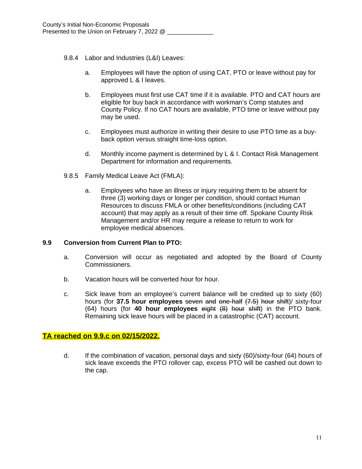- 9.8.4 Labor and Industries (L&I) Leaves:
	- a. Employees will have the option of using CAT, PTO or leave without pay for approved L & I leaves.
	- b. Employees must first use CAT time if it is available. PTO and CAT hours are eligible for buy back in accordance with workman's Comp statutes and County Policy. If no CAT hours are available, PTO time or leave without pay may be used.
	- c. Employees must authorize in writing their desire to use PTO time as a buyback option versus straight time-loss option.
	- d. Monthly income payment is determined by L & I. Contact Risk Management Department for information and requirements.
- 9.8.5 Family Medical Leave Act (FMLA):
	- a. Employees who have an illness or injury requiring them to be absent for three (3) working days or longer per condition, should contact Human Resources to discuss FMLA or other benefits/conditions (including CAT account) that may apply as a result of their time off. Spokane County Risk Management and/or HR may require a release to return to work for employee medical absences.

#### **9.9 Conversion from Current Plan to PTO:**

- a. Conversion will occur as negotiated and adopted by the Board of County Commissioners.
- b. Vacation hours will be converted hour for hour.
- c. Sick leave from an employee's current balance will be credited up to sixty (60) hours (for **37.5 hour employees** seven and one-half (7.5) hour shift)/ sixty-four (64) hours (for **40 hour employees** eight (8) hour shift) in the PTO bank. Remaining sick leave hours will be placed in a catastrophic (CAT) account.

#### **TA reached on 9.9.c on 02/15/2022.**

d. If the combination of vacation, personal days and sixty (60)/sixty-four (64) hours of sick leave exceeds the PTO rollover cap, excess PTO will be cashed out down to the cap.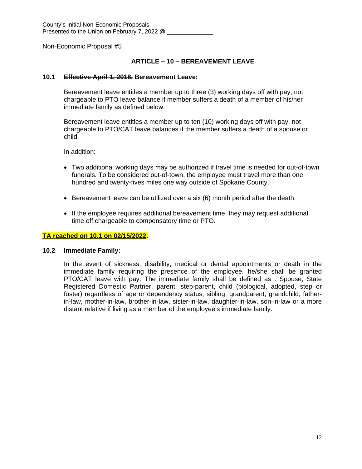#### **ARTICLE – 10 – BEREAVEMENT LEAVE**

#### **10.1 Effective April 1, 2018, Bereavement Leave:**

Bereavement leave entitles a member up to three (3) working days off with pay, not chargeable to PTO leave balance if member suffers a death of a member of his/her immediate family as defined below.

Bereavement leave entitles a member up to ten (10) working days off with pay, not chargeable to PTO/CAT leave balances if the member suffers a death of a spouse or child.

In addition:

- Two additional working days may be authorized if travel time is needed for out-of-town funerals. To be considered out-of-town, the employee must travel more than one hundred and twenty-fives miles one way outside of Spokane County.
- **Bereavement leave can be utilized over a six (6) month period after the death.**
- If the employee requires additional bereavement time, they may request additional time off chargeable to compensatory time or PTO.

#### **TA reached on 10.1 on 02/15/2022.**

#### **10.2 Immediate Family:**

In the event of sickness, disability, medical or dental appointments or death in the immediate family requiring the presence of the employee, he/she shall be granted PTO/CAT leave with pay. The immediate family shall be defined as : Spouse, State Registered Domestic Partner, parent, step-parent, child (biological, adopted, step or foster) regardless of age or dependency status, sibling, grandparent, grandchild, fatherin-law, mother-in-law, brother-in-law, sister-in-law, daughter-in-law, son-in-law or a more distant relative if living as a member of the employee's immediate family.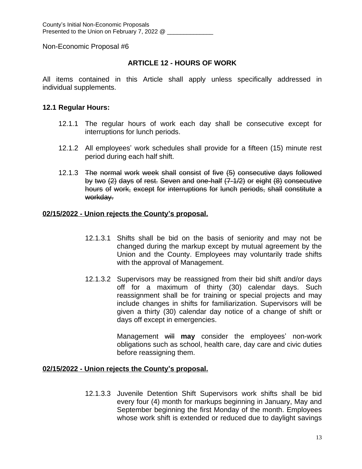## **ARTICLE 12 - HOURS OF WORK**

All items contained in this Article shall apply unless specifically addressed in individual supplements.

#### **12.1 Regular Hours:**

- 12.1.1 The regular hours of work each day shall be consecutive except for interruptions for lunch periods.
- 12.1.2 All employees' work schedules shall provide for a fifteen (15) minute rest period during each half shift.
- 12.1.3 The normal work week shall consist of five (5) consecutive days followed by two (2) days of rest. Seven and one-half (7-1/2) or eight (8) consecutive hours of work, except for interruptions for lunch periods, shall constitute a workday.

#### **02/15/2022 - Union rejects the County's proposal.**

- 12.1.3.1 Shifts shall be bid on the basis of seniority and may not be changed during the markup except by mutual agreement by the Union and the County. Employees may voluntarily trade shifts with the approval of Management.
- 12.1.3.2 Supervisors may be reassigned from their bid shift and/or days off for a maximum of thirty (30) calendar days. Such reassignment shall be for training or special projects and may include changes in shifts for familiarization. Supervisors will be given a thirty (30) calendar day notice of a change of shift or days off except in emergencies.

Management will **may** consider the employees' non-work obligations such as school, health care, day care and civic duties before reassigning them.

#### **02/15/2022 - Union rejects the County's proposal.**

12.1.3.3 Juvenile Detention Shift Supervisors work shifts shall be bid every four (4) month for markups beginning in January, May and September beginning the first Monday of the month. Employees whose work shift is extended or reduced due to daylight savings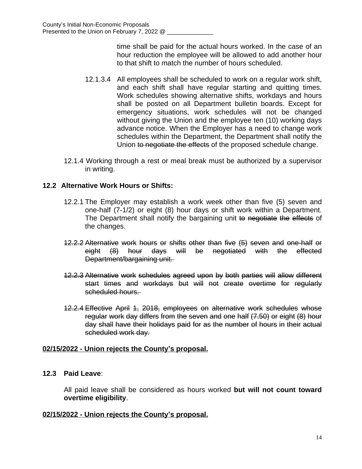time shall be paid for the actual hours worked. In the case of an hour reduction the employee will be allowed to add another hour to that shift to match the number of hours scheduled.

- 12.1.3.4 All employees shall be scheduled to work on a regular work shift, and each shift shall have regular starting and quitting times. Work schedules showing alternative shifts, workdays and hours shall be posted on all Department bulletin boards. Except for emergency situations, work schedules will not be changed without giving the Union and the employee ten (10) working days advance notice. When the Employer has a need to change work schedules within the Department, the Department shall notify the Union to negotiate the effects of the proposed schedule change.
- 12.1.4 Working through a rest or meal break must be authorized by a supervisor in writing.

# **12.2 Alternative Work Hours or Shifts:**

- 12.2.1 The Employer may establish a work week other than five (5) seven and one-half (7-1/2) or eight (8) hour days or shift work within a Department. The Department shall notify the bargaining unit to negotiate the effects of the changes.
- 12.2.2 Alternative work hours or shifts other than five (5) seven and one-half or eight (8) hour days will be negotiated with the effected Department/bargaining unit.
- 12.2.3 Alternative work schedules agreed upon by both parties will allow different start times and workdays but will not create overtime for regularly scheduled hours.
- 12.2.4 Effective April 1, 2018, employees on alternative work schedules whose regular work day differs from the seven and one half (7.50) or eight (8) hour day shall have their holidays paid for as the number of hours in their actual scheduled work day.

#### **02/15/2022 - Union rejects the County's proposal.**

#### **12.3 Paid Leave**:

All paid leave shall be considered as hours worked **but will not count toward overtime eligibility**.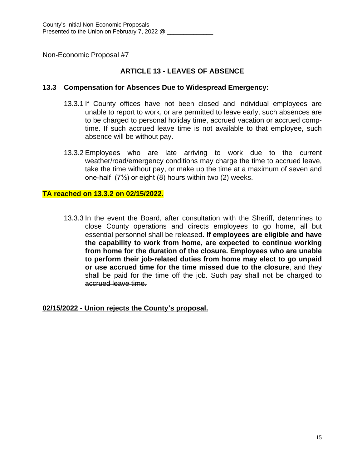# **ARTICLE 13 - LEAVES OF ABSENCE**

#### **13.3 Compensation for Absences Due to Widespread Emergency:**

- 13.3.1 If County offices have not been closed and individual employees are unable to report to work, or are permitted to leave early, such absences are to be charged to personal holiday time, accrued vacation or accrued comptime. If such accrued leave time is not available to that employee, such absence will be without pay.
- 13.3.2 Employees who are late arriving to work due to the current weather/road/emergency conditions may charge the time to accrued leave, take the time without pay, or make up the time at a maximum of seven and one-half (7½) or eight (8) hours within two (2) weeks.

# **TA reached on 13.3.2 on 02/15/2022.**

13.3.3 In the event the Board, after consultation with the Sheriff, determines to close County operations and directs employees to go home, all but essential personnel shall be released**. If employees are eligible and have the capability to work from home, are expected to continue working from home for the duration of the closure. Employees who are unable to perform their job-related duties from home may elect to go unpaid or use accrued time for the time missed due to the closure**, and they shall be paid for the time off the job. Such pay shall not be charged to accrued leave time.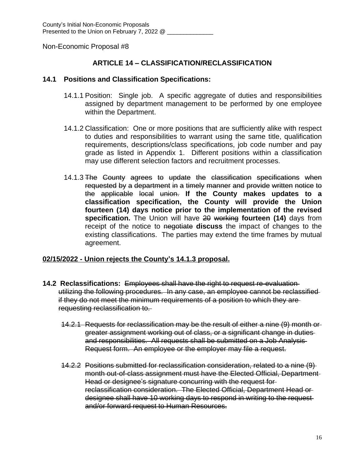## **ARTICLE 14 – CLASSIFICATION/RECLASSIFICATION**

#### **14.1 Positions and Classification Specifications:**

- 14.1.1 Position: Single job. A specific aggregate of duties and responsibilities assigned by department management to be performed by one employee within the Department.
- 14.1.2 Classification: One or more positions that are sufficiently alike with respect to duties and responsibilities to warrant using the same title, qualification requirements, descriptions/class specifications, job code number and pay grade as listed in Appendix 1. Different positions within a classification may use different selection factors and recruitment processes.
- 14.1.3 The County agrees to update the classification specifications when requested by a department in a timely manner and provide written notice to the applicable local union. **If the County makes updates to a classification specification, the County will provide the Union fourteen (14) days notice prior to the implementation of the revised specification.** The Union will have 20 working **fourteen (14)** days from receipt of the notice to negotiate **discuss** the impact of changes to the existing classifications. The parties may extend the time frames by mutual agreement.

- **14.2 Reclassifications:** Employees shall have the right to request re-evaluation utilizing the following procedures. In any case, an employee cannot be reclassified if they do not meet the minimum requirements of a position to which they are requesting reclassification to.
	- 14.2.1 Requests for reclassification may be the result of either a nine (9) month or greater assignment working out of class, or a significant change in duties and responsibilities. All requests shall be submitted on a Job Analysis Request form. An employee or the employer may file a request.
	- 14.2.2 Positions submitted for reclassification consideration, related to a nine (9) month out-of-class assignment must have the Elected Official, Department Head or designee's signature concurring with the request for reclassification consideration. The Elected Official, Department Head or designee shall have 10 working days to respond in writing to the request and/or forward request to Human Resources.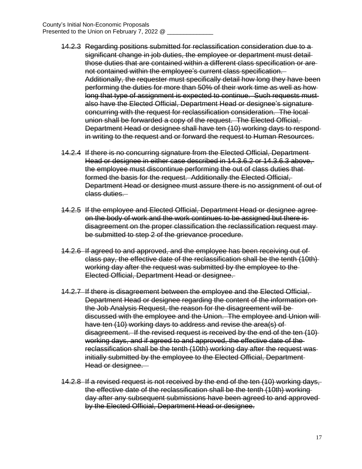- 14.2.3 Regarding positions submitted for reclassification consideration due to a significant change in job duties, the employee or department must detailthose duties that are contained within a different class specification or are not contained within the employee's current class specification. Additionally, the requester must specifically detail how long they have been performing the duties for more than 50% of their work time as well as how long that type of assignment is expected to continue. Such requests must also have the Elected Official, Department Head or designee's signature concurring with the request for reclassification consideration. The local union shall be forwarded a copy of the request. The Elected Official, Department Head or designee shall have ten (10) working days to respond in writing to the request and or forward the request to Human Resources.
- 14.2.4 If there is no concurring signature from the Elected Official, Department Head or designee in either case described in 14.3.6.2 or 14.3.6.3 above, the employee must discontinue performing the out of class duties that formed the basis for the request. Additionally the Elected Official, Department Head or designee must assure there is no assignment of out of class duties.
- 14.2.5 If the employee and Elected Official, Department Head or designee agree on the body of work and the work continues to be assigned but there is disagreement on the proper classification the reclassification request may be submitted to step 2 of the grievance procedure.
- 14.2.6 If agreed to and approved, and the employee has been receiving out of class pay, the effective date of the reclassification shall be the tenth (10th) working day after the request was submitted by the employee to the Elected Official, Department Head or designee.
- 14.2.7 If there is disagreement between the employee and the Elected Official, Department Head or designee regarding the content of the information on the Job Analysis Request, the reason for the disagreement will be discussed with the employee and the Union. The employee and Union will have ten (10) working days to address and revise the area(s) of disagreement. If the revised request is received by the end of the ten (10) working days, and if agreed to and approved, the effective date of the reclassification shall be the tenth (10th) working day after the request was initially submitted by the employee to the Elected Official, Department Head or designee.
- 14.2.8 If a revised request is not received by the end of the ten (10) working days, the effective date of the reclassification shall be the tenth (10th) working day after any subsequent submissions have been agreed to and approved by the Elected Official, Department Head or designee.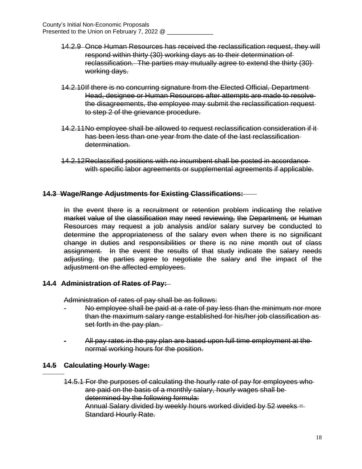- 14.2.9 Once Human Resources has received the reclassification request, they will respond within thirty (30) working days as to their determination of reclassification. The parties may mutually agree to extend the thirty (30) working days.
- 14.2.10If there is no concurring signature from the Elected Official, Department Head, designee or Human Resources after attempts are made to resolve the disagreements, the employee may submit the reclassification request to step 2 of the grievance procedure.
- 14.2.11No employee shall be allowed to request reclassification consideration if it has been less than one year from the date of the last reclassification determination.
- 14.2.12Reclassified positions with no incumbent shall be posted in accordance with specific labor agreements or supplemental agreements if applicable.

#### **14.3 Wage/Range Adjustments for Existing Classifications:**

In the event there is a recruitment or retention problem indicating the relative market value of the classification may need reviewing, the Department*,* or Human Resources may request a job analysis and/or salary survey be conducted to determine the appropriateness of the salary even when there is no significant change in duties and responsibilities or there is no nine month out of class assignment. In the event the results of that study indicate the salary needs adjusting, the parties agree to negotiate the salary and the impact of the adjustment on the affected employees.

#### **14.4 Administration of Rates of Pay:**

Administration of rates of pay shall be as follows:

- No employee shall be paid at a rate of pay less than the minimum nor more than the maximum salary range established for his/her job classification as set forth in the pay plan.
- All pay rates in the pay plan are based upon full time employment at the normal working hours for the position.

#### **14.5 Calculating Hourly Wage:**

 $\overline{a}$ 

14.5.1 For the purposes of calculating the hourly rate of pay for employees who are paid on the basis of a monthly salary, hourly wages shall be determined by the following formula: Annual Salary divided by weekly hours worked divided by 52 weeks = Standard Hourly Rate.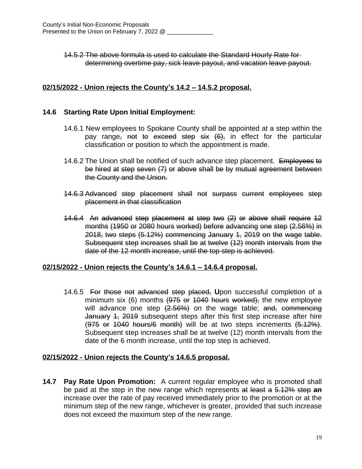14.5.2 The above formula is used to calculate the Standard Hourly Rate for determining overtime pay, sick leave payout, and vacation leave payout.

# **02/15/2022 - Union rejects the County's 14.2 – 14.5.2 proposal.**

## **14.6 Starting Rate Upon Initial Employment:**

- 14.6.1 New employees to Spokane County shall be appointed at a step within the pay range<sub>r</sub> not to exceed step six  $(6)$ , in effect for the particular classification or position to which the appointment is made.
- 14.6.2 The Union shall be notified of such advance step placement. Employees to be hired at step seven (7) or above shall be by mutual agreement between the County and the Union.
- 14.6.3 Advanced step placement shall not surpass current employees step placement in that classification
- 14.6.4 An advanced step placement at step two (2) or above shall require 12 months (1950 or 2080 hours worked) before advancing one step (2.56%) in 2018, two steps (5.12%) commencing January 1, 2019 on the wage table. Subsequent step increases shall be at twelve (12) month intervals from the date of the 12 month increase, until the top step is achieved.

#### **02/15/2022 - Union rejects the County's 14.6.1 – 14.6.4 proposal.**

14.6.5 For those not advanced step placed, **U**pon successful completion of a minimum six (6) months (975 or 1040 hours worked), the new employee will advance one step  $(2.56%)$  on the wage table; and, commencing January 1, 2019 subsequent steps after this first step increase after hire  $(975$  or 1040 hours/6 month) will be at two steps increments  $(5.12\%)$ . Subsequent step increases shall be at twelve (12) month intervals from the date of the 6 month increase, until the top step is achieved.

#### **02/15/2022 - Union rejects the County's 14.6.5 proposal.**

**14.7 Pay Rate Upon Promotion:** A current regular employee who is promoted shall be paid at the step in the new range which represents at least a 5.12% step **an** increase over the rate of pay received immediately prior to the promotion or at the minimum step of the new range, whichever is greater, provided that such increase does not exceed the maximum step of the new range.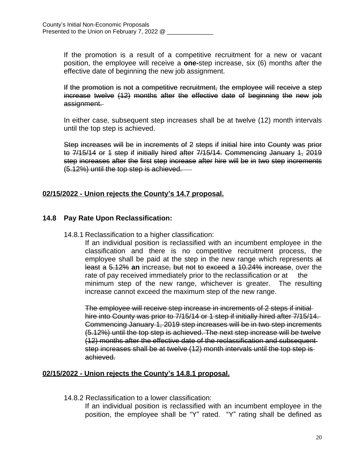If the promotion is a result of a competitive recruitment for a new or vacant position, the employee will receive a **one-**step increase, six (6) months after the effective date of beginning the new job assignment.

If the promotion is not a competitive recruitment, the employee will receive a step increase twelve (12) months after the effective date of beginning the new job assignment.

In either case, subsequent step increases shall be at twelve (12) month intervals until the top step is achieved.

Step increases will be in increments of 2 steps if initial hire into County was prior to 7/15/14 or 1 step if initially hired after 7/15/14. Commencing January 1, 2019 step increases after the first step increase after hire will be in two step increments (5.12%) until the top step is achieved.

# **02/15/2022 - Union rejects the County's 14.7 proposal.**

## **14.8 Pay Rate Upon Reclassification:**

14.8.1 Reclassification to a higher classification:

If an individual position is reclassified with an incumbent employee in the classification and there is no competitive recruitment process, the employee shall be paid at the step in the new range which represents at least a 5.12% **an** increase, but not to exceed a 10.24% increase, over the rate of pay received immediately prior to the reclassification or at the minimum step of the new range, whichever is greater. The resulting increase cannot exceed the maximum step of the new range.

The employee will receive step increase in increments of 2 steps if initial hire into County was prior to 7/15/14 or 1 step if initially hired after 7/15/14. Commencing January 1, 2019 step increases will be in two step increments (5.12%) until the top step is achieved. The next step increase will be twelve (12) months after the effective date of the reclassification and subsequent step increases shall be at twelve (12) month intervals until the top step is achieved.

#### **02/15/2022 - Union rejects the County's 14.8.1 proposal.**

14.8.2 Reclassification to a lower classification:

If an individual position is reclassified with an incumbent employee in the position, the employee shall be "Y" rated. "Y" rating shall be defined as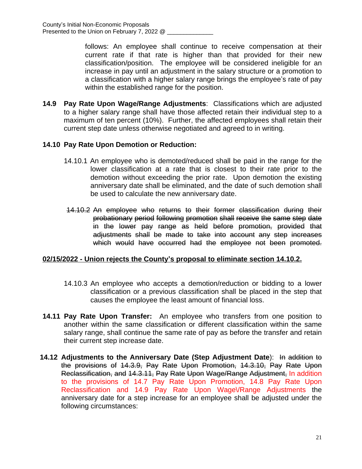follows: An employee shall continue to receive compensation at their current rate if that rate is higher than that provided for their new classification/position. The employee will be considered ineligible for an increase in pay until an adjustment in the salary structure or a promotion to a classification with a higher salary range brings the employee's rate of pay within the established range for the position.

**14.9 Pay Rate Upon Wage/Range Adjustments**: Classifications which are adjusted to a higher salary range shall have those affected retain their individual step to a maximum of ten percent (10%). Further, the affected employees shall retain their current step date unless otherwise negotiated and agreed to in writing.

## **14.10 Pay Rate Upon Demotion or Reduction:**

- 14.10.1 An employee who is demoted/reduced shall be paid in the range for the lower classification at a rate that is closest to their rate prior to the demotion without exceeding the prior rate. Upon demotion the existing anniversary date shall be eliminated, and the date of such demotion shall be used to calculate the new anniversary date.
- 14.10.2 An employee who returns to their former classification during their probationary period following promotion shall receive the same step date in the lower pay range as held before promotion, provided that adjustments shall be made to take into account any step increases which would have occurred had the employee not been promoted.

#### **02/15/2022 - Union rejects the County's proposal to eliminate section 14.10.2.**

- 14.10.3 An employee who accepts a demotion/reduction or bidding to a lower classification or a previous classification shall be placed in the step that causes the employee the least amount of financial loss.
- **14.11 Pay Rate Upon Transfer:** An employee who transfers from one position to another within the same classification or different classification within the same salary range, shall continue the same rate of pay as before the transfer and retain their current step increase date.
- **14.12 Adjustments to the Anniversary Date (Step Adjustment Date**): In addition to the provisions of 14.3.9, Pay Rate Upon Promotion, 14.3.10, Pay Rate Upon Reclassification, and 14.3.11, Pay Rate Upon Wage/Range Adjustment, In addition to the provisions of 14.7 Pay Rate Upon Promotion, 14.8 Pay Rate Upon Reclassification and 14.9 Pay Rate Upon Wage VRange Adjustments the anniversary date for a step increase for an employee shall be adjusted under the following circumstances: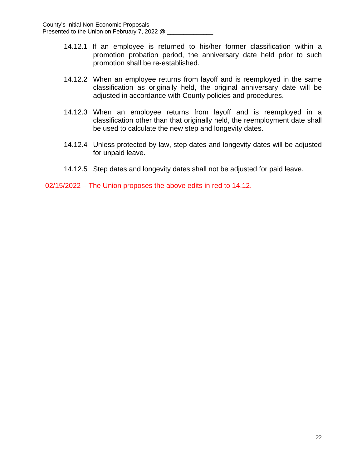- 14.12.1 If an employee is returned to his/her former classification within a promotion probation period, the anniversary date held prior to such promotion shall be re-established.
- 14.12.2 When an employee returns from layoff and is reemployed in the same classification as originally held, the original anniversary date will be adjusted in accordance with County policies and procedures.
- 14.12.3 When an employee returns from layoff and is reemployed in a classification other than that originally held, the reemployment date shall be used to calculate the new step and longevity dates.
- 14.12.4 Unless protected by law, step dates and longevity dates will be adjusted for unpaid leave.
- 14.12.5 Step dates and longevity dates shall not be adjusted for paid leave.

02/15/2022 – The Union proposes the above edits in red to 14.12.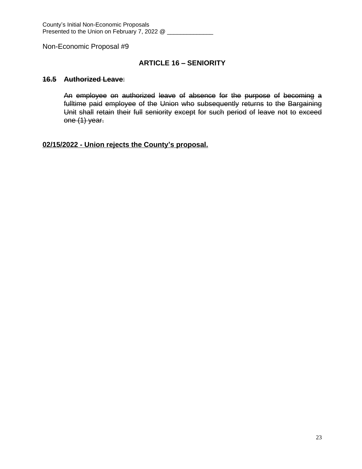## **ARTICLE 16 – SENIORITY**

#### **16.5 Authorized Leave**:

An employee on authorized leave of absence for the purpose of becoming a fulltime paid employee of the Union who subsequently returns to the Bargaining Unit shall retain their full seniority except for such period of leave not to exceed one (1) year.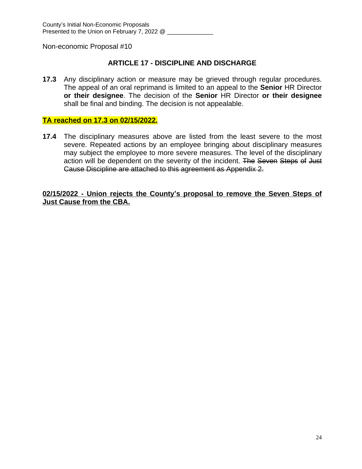## **ARTICLE 17 - DISCIPLINE AND DISCHARGE**

**17.3** Any disciplinary action or measure may be grieved through regular procedures. The appeal of an oral reprimand is limited to an appeal to the **Senior** HR Director **or their designee**. The decision of the **Senior** HR Director **or their designee** shall be final and binding. The decision is not appealable.

#### **TA reached on 17.3 on 02/15/2022.**

**17.4** The disciplinary measures above are listed from the least severe to the most severe. Repeated actions by an employee bringing about disciplinary measures may subject the employee to more severe measures. The level of the disciplinary action will be dependent on the severity of the incident. The Seven Steps of Just Cause Discipline are attached to this agreement as Appendix 2.

**02/15/2022 - Union rejects the County's proposal to remove the Seven Steps of Just Cause from the CBA.**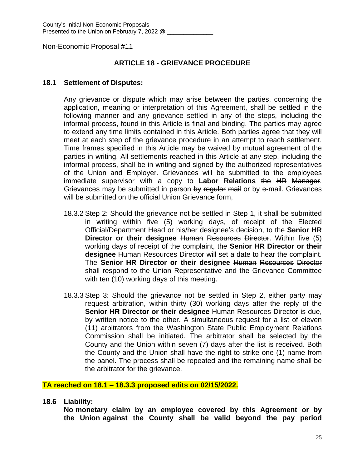#### **ARTICLE 18 - GRIEVANCE PROCEDURE**

#### **18.1 Settlement of Disputes:**

Any grievance or dispute which may arise between the parties, concerning the application, meaning or interpretation of this Agreement, shall be settled in the following manner and any grievance settled in any of the steps, including the informal process, found in this Article is final and binding. The parties may agree to extend any time limits contained in this Article. Both parties agree that they will meet at each step of the grievance procedure in an attempt to reach settlement. Time frames specified in this Article may be waived by mutual agreement of the parties in writing. All settlements reached in this Article at any step, including the informal process, shall be in writing and signed by the authorized representatives of the Union and Employer. Grievances will be submitted to the employees immediate supervisor with a copy to **Labor Relations** the HR Manager. Grievances may be submitted in person by regular mail or by e-mail. Grievances will be submitted on the official Union Grievance form,

- 18.3.2 Step 2: Should the grievance not be settled in Step 1, it shall be submitted in writing within five (5) working days, of receipt of the Elected Official/Department Head or his/her designee's decision, to the **Senior HR Director or their designee** Human Resources Director. Within five (5) working days of receipt of the complaint, the **Senior HR Director or their designee** Human Resources Director will set a date to hear the complaint. The **Senior HR Director or their designee** Human Resources Director shall respond to the Union Representative and the Grievance Committee with ten (10) working days of this meeting.
- 18.3.3 Step 3: Should the grievance not be settled in Step 2, either party may request arbitration, within thirty (30) working days after the reply of the **Senior HR Director or their designee** Human Resources Director is due, by written notice to the other. A simultaneous request for a list of eleven (11) arbitrators from the Washington State Public Employment Relations Commission shall be initiated. The arbitrator shall be selected by the County and the Union within seven (7) days after the list is received. Both the County and the Union shall have the right to strike one (1) name from the panel. The process shall be repeated and the remaining name shall be the arbitrator for the grievance.

#### **TA reached on 18.1 – 18.3.3 proposed edits on 02/15/2022.**

**18.6 Liability:**

**No monetary claim by an employee covered by this Agreement or by the Union against the County shall be valid beyond the pay period**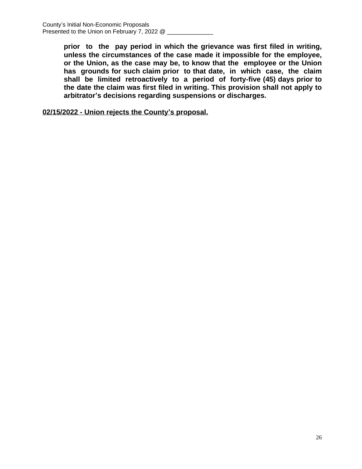**prior to the pay period in which the grievance was first filed in writing, unless the circumstances of the case made it impossible for the employee, or the Union, as the case may be, to know that the employee or the Union has grounds for such claim prior to that date, in which case, the claim shall be limited retroactively to a period of forty-five (45) days prior to the date the claim was first filed in writing. This provision shall not apply to arbitrator's decisions regarding suspensions or discharges.**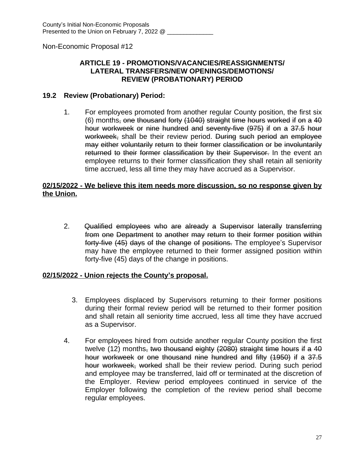#### **ARTICLE 19 - PROMOTIONS/VACANCIES/REASSIGNMENTS/ LATERAL TRANSFERS/NEW OPENINGS/DEMOTIONS/ REVIEW (PROBATIONARY) PERIOD**

#### **19.2 Review (Probationary) Period:**

1. For employees promoted from another regular County position, the first six (6) months, one thousand forty (1040) straight time hours worked if on a 40 hour workweek or nine hundred and seventy-five (975) if on a 37.5 hour workweek, shall be their review period. During such period an employee may either voluntarily return to their former classification or be involuntarily returned to their former classification by their Supervisor. In the event an employee returns to their former classification they shall retain all seniority time accrued, less all time they may have accrued as a Supervisor.

#### **02/15/2022 - We believe this item needs more discussion, so no response given by the Union.**

2. Qualified employees who are already a Supervisor laterally transferring from one Department to another may return to their former position within forty-five (45) days of the change of positions. The employee's Supervisor may have the employee returned to their former assigned position within forty-five (45) days of the change in positions.

- 3. Employees displaced by Supervisors returning to their former positions during their formal review period will be returned to their former position and shall retain all seniority time accrued, less all time they have accrued as a Supervisor.
- 4. For employees hired from outside another regular County position the first twelve (12) months, two thousand eighty (2080) straight time hours if a 40 hour workweek or one thousand nine hundred and fifty (1950) if a 37.5 hour workweek, worked shall be their review period. During such period and employee may be transferred, laid off or terminated at the discretion of the Employer. Review period employees continued in service of the Employer following the completion of the review period shall become regular employees.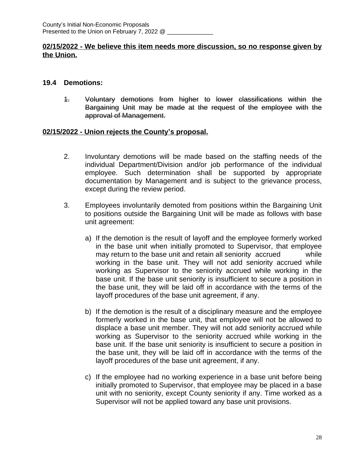#### **02/15/2022 - We believe this item needs more discussion, so no response given by the Union.**

## **19.4 Demotions:**

1. Voluntary demotions from higher to lower classifications within the Bargaining Unit may be made at the request of the employee with the approval of Management.

- 2. Involuntary demotions will be made based on the staffing needs of the individual Department/Division and/or job performance of the individual employee. Such determination shall be supported by appropriate documentation by Management and is subject to the grievance process, except during the review period.
- 3. Employees involuntarily demoted from positions within the Bargaining Unit to positions outside the Bargaining Unit will be made as follows with base unit agreement:
	- a) If the demotion is the result of layoff and the employee formerly worked in the base unit when initially promoted to Supervisor, that employee may return to the base unit and retain all seniority accrued while working in the base unit. They will not add seniority accrued while working as Supervisor to the seniority accrued while working in the base unit. If the base unit seniority is insufficient to secure a position in the base unit, they will be laid off in accordance with the terms of the layoff procedures of the base unit agreement, if any.
	- b) If the demotion is the result of a disciplinary measure and the employee formerly worked in the base unit, that employee will not be allowed to displace a base unit member. They will not add seniority accrued while working as Supervisor to the seniority accrued while working in the base unit. If the base unit seniority is insufficient to secure a position in the base unit, they will be laid off in accordance with the terms of the layoff procedures of the base unit agreement, if any.
	- c) If the employee had no working experience in a base unit before being initially promoted to Supervisor, that employee may be placed in a base unit with no seniority, except County seniority if any. Time worked as a Supervisor will not be applied toward any base unit provisions.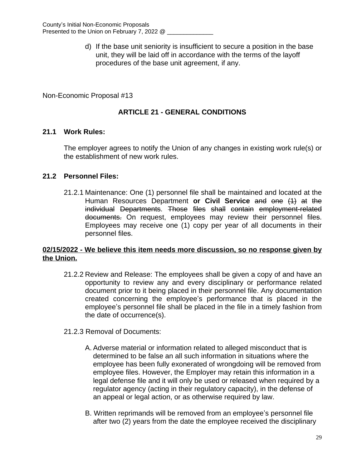d) If the base unit seniority is insufficient to secure a position in the base unit, they will be laid off in accordance with the terms of the layoff procedures of the base unit agreement, if any.

Non-Economic Proposal #13

# **ARTICLE 21 - GENERAL CONDITIONS**

## **21.1 Work Rules:**

The employer agrees to notify the Union of any changes in existing work rule(s) or the establishment of new work rules.

## **21.2 Personnel Files:**

21.2.1 Maintenance: One (1) personnel file shall be maintained and located at the Human Resources Department **or Civil Service** and one (1) at the individual Departments. Those files shall contain employment-related documents. On request, employees may review their personnel files. Employees may receive one (1) copy per year of all documents in their personnel files.

#### **02/15/2022 - We believe this item needs more discussion, so no response given by the Union.**

- 21.2.2 Review and Release: The employees shall be given a copy of and have an opportunity to review any and every disciplinary or performance related document prior to it being placed in their personnel file. Any documentation created concerning the employee's performance that is placed in the employee's personnel file shall be placed in the file in a timely fashion from the date of occurrence(s).
- 21.2.3 Removal of Documents:
	- A. Adverse material or information related to alleged misconduct that is determined to be false an all such information in situations where the employee has been fully exonerated of wrongdoing will be removed from employee files. However, the Employer may retain this information in a legal defense file and it will only be used or released when required by a regulator agency (acting in their regulatory capacity), in the defense of an appeal or legal action, or as otherwise required by law.
	- B. Written reprimands will be removed from an employee's personnel file after two (2) years from the date the employee received the disciplinary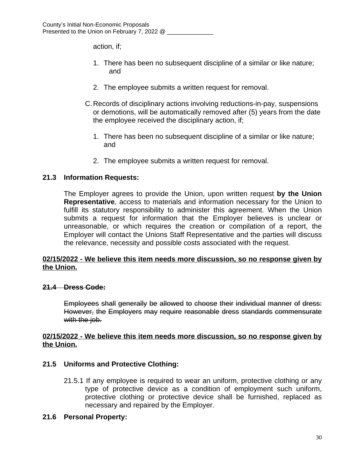action, if;

- 1. There has been no subsequent discipline of a similar or like nature; and
- 2. The employee submits a written request for removal.
- C.Records of disciplinary actions involving reductions-in-pay, suspensions or demotions, will be automatically removed after (5) years from the date the employee received the disciplinary action, if;
	- 1. There has been no subsequent discipline of a similar or like nature; and
	- 2. The employee submits a written request for removal.

#### **21.3 Information Requests:**

The Employer agrees to provide the Union, upon written request **by the Union Representative**, access to materials and information necessary for the Union to fulfill its statutory responsibility to administer this agreement. When the Union submits a request for information that the Employer believes is unclear or unreasonable, or which requires the creation or compilation of a report, the Employer will contact the Unions Staff Representative and the parties will discuss the relevance, necessity and possible costs associated with the request.

#### **02/15/2022 - We believe this item needs more discussion, so no response given by the Union.**

#### **21.4 Dress Code:**

Employees shall generally be allowed to choose their individual manner of dress: However, the Employers may require reasonable dress standards commensurate with the job.

#### **02/15/2022 - We believe this item needs more discussion, so no response given by the Union.**

#### **21.5 Uniforms and Protective Clothing:**

21.5.1 If any employee is required to wear an uniform, protective clothing or any type of protective device as a condition of employment such uniform, protective clothing or protective device shall be furnished, replaced as necessary and repaired by the Employer.

#### **21.6 Personal Property:**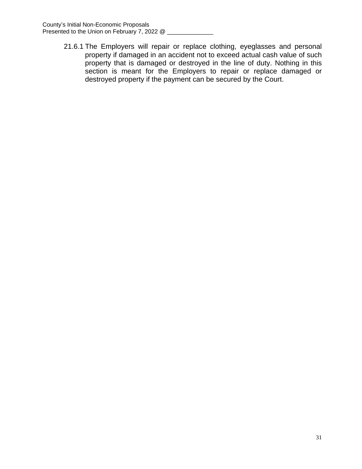21.6.1 The Employers will repair or replace clothing, eyeglasses and personal property if damaged in an accident not to exceed actual cash value of such property that is damaged or destroyed in the line of duty. Nothing in this section is meant for the Employers to repair or replace damaged or destroyed property if the payment can be secured by the Court.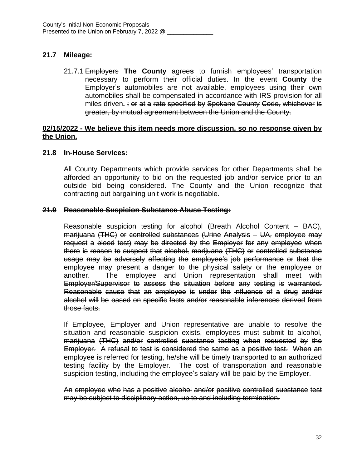# **21.7 Mileage:**

21.7.1 Employers **The County** agree**s** to furnish employees' transportation necessary to perform their official duties. In the event **County** the Employer's automobiles are not available, employees using their own automobiles shall be compensated in accordance with IRS provision for all miles driven**.** ; or at a rate specified by Spokane County Code, whichever is greater, by mutual agreement between the Union and the County.

#### **02/15/2022 - We believe this item needs more discussion, so no response given by the Union.**

#### **21.8 In-House Services:**

All County Departments which provide services for other Departments shall be afforded an opportunity to bid on the requested job and/or service prior to an outside bid being considered. The County and the Union recognize that contracting out bargaining unit work is negotiable.

#### **21.9 Reasonable Suspicion Substance Abuse Testing:**

Reasonable suspicion testing for alcohol (Breath Alcohol Content – BAC), marijuana (THC) or controlled substances (Urine Analysis – UA, employee may request a blood test) may be directed by the Employer for any employee when there is reason to suspect that alcohol, marijuana (THC) or controlled substance usage may be adversely affecting the employee's job performance or that the employee may present a danger to the physical safety or the employee or another. The employee and Union representation shall meet with Employer/Supervisor to assess the situation before any testing is warranted. Reasonable cause that an employee is under the influence of a drug and/or alcohol will be based on specific facts and/or reasonable inferences derived from those facts.

If Employee, Employer and Union representative are unable to resolve the situation and reasonable suspicion exists, employees must submit to alcohol, marijuana (THC) and/or controlled substance testing when requested by the Employer. A refusal to test is considered the same as a positive test. When an employee is referred for testing, he/she will be timely transported to an authorized testing facility by the Employer. The cost of transportation and reasonable suspicion testing, including the employee's salary will be paid by the Employer.

An employee who has a positive alcohol and/or positive controlled substance test may be subject to disciplinary action, up to and including termination.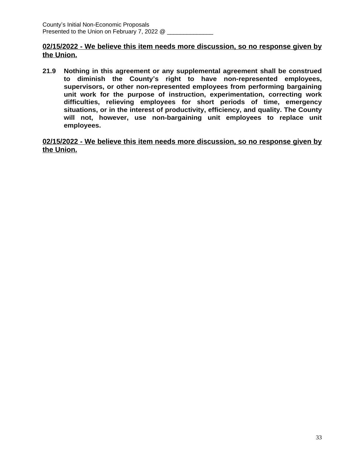## **02/15/2022 - We believe this item needs more discussion, so no response given by the Union.**

**21.9 Nothing in this agreement or any supplemental agreement shall be construed to diminish the County's right to have non-represented employees, supervisors, or other non-represented employees from performing bargaining unit work for the purpose of instruction, experimentation, correcting work difficulties, relieving employees for short periods of time, emergency situations, or in the interest of productivity, efficiency, and quality. The County will not, however, use non-bargaining unit employees to replace unit employees.**

**02/15/2022 - We believe this item needs more discussion, so no response given by the Union.**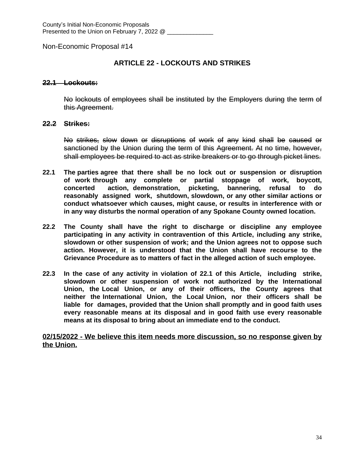#### **ARTICLE 22 - LOCKOUTS AND STRIKES**

#### **22.1 Lockouts:**

No lockouts of employees shall be instituted by the Employers during the term of this Agreement.

#### **22.2 Strikes:**

No strikes, slow down or disruptions of work of any kind shall be caused or sanctioned by the Union during the term of this Agreement. At no time, however, shall employees be required to act as strike breakers or to go through picket lines.

- **22.1 The parties agree that there shall be no lock out or suspension or disruption of work through any complete or partial stoppage of work, boycott, concerted action, demonstration, picketing, bannering, refusal to do reasonably assigned work, shutdown, slowdown, or any other similar actions or conduct whatsoever which causes, might cause, or results in interference with or in any way disturbs the normal operation of any Spokane County owned location.**
- **22.2 The County shall have the right to discharge or discipline any employee participating in any activity in contravention of this Article, including any strike, slowdown or other suspension of work; and the Union agrees not to oppose such action. However, it is understood that the Union shall have recourse to the Grievance Procedure as to matters of fact in the alleged action of such employee.**
- **22.3 In the case of any activity in violation of 22.1 of this Article, including strike, slowdown or other suspension of work not authorized by the International Union, the Local Union, or any of their officers, the County agrees that neither the International Union, the Local Union, nor their officers shall be liable for damages, provided that the Union shall promptly and in good faith uses every reasonable means at its disposal and in good faith use every reasonable means at its disposal to bring about an immediate end to the conduct.**

**02/15/2022 - We believe this item needs more discussion, so no response given by the Union.**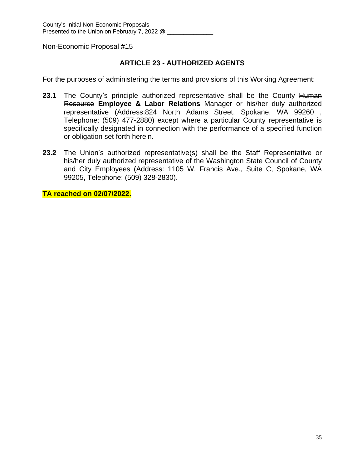# **ARTICLE 23 - AUTHORIZED AGENTS**

For the purposes of administering the terms and provisions of this Working Agreement:

- **23.1** The County's principle authorized representative shall be the County Human Resource **Employee & Labor Relations** Manager or his/her duly authorized representative (Address:824 North Adams Street, Spokane, WA 99260 , Telephone: (509) 477-2880) except where a particular County representative is specifically designated in connection with the performance of a specified function or obligation set forth herein.
- **23.2** The Union's authorized representative(s) shall be the Staff Representative or his/her duly authorized representative of the Washington State Council of County and City Employees (Address: 1105 W. Francis Ave., Suite C, Spokane, WA 99205, Telephone: (509) 328-2830).

**TA reached on 02/07/2022.**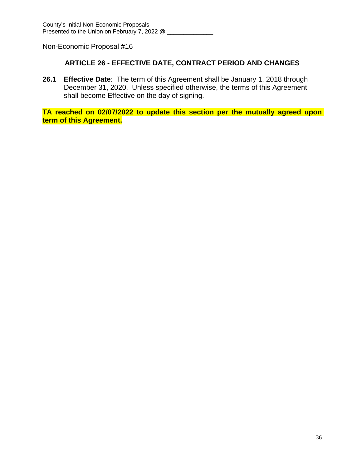# **ARTICLE 26 - EFFECTIVE DATE, CONTRACT PERIOD AND CHANGES**

**26.1 Effective Date**: The term of this Agreement shall be January 1, 2018 through December 31, 2020. Unless specified otherwise, the terms of this Agreement shall become Effective on the day of signing.

**TA reached on 02/07/2022 to update this section per the mutually agreed upon term of this Agreement.**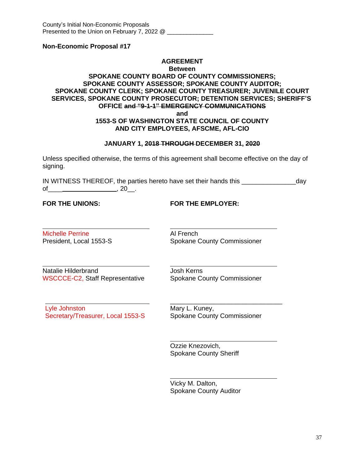#### **AGREEMENT**

#### **Between**

#### **SPOKANE COUNTY BOARD OF COUNTY COMMISSIONERS; SPOKANE COUNTY ASSESSOR; SPOKANE COUNTY AUDITOR; SPOKANE COUNTY CLERK; SPOKANE COUNTY TREASURER; JUVENILE COURT SERVICES, SPOKANE COUNTY PROSECUTOR; DETENTION SERVICES; SHERIFF'S OFFICE and "9-1-1" EMERGENCY COMMUNICATIONS and**

#### **1553-S OF WASHINGTON STATE COUNCIL OF COUNTY AND CITY EMPLOYEES, AFSCME, AFL-CIO**

#### **JANUARY 1, 2018 THROUGH DECEMBER 31, 2020**

Unless specified otherwise, the terms of this agreement shall become effective on the day of signing.

IN WITNESS THEREOF, the parties hereto have set their hands this \_\_\_\_\_\_\_\_\_\_\_\_\_\_\_day of\_\_\_\_ , 20\_\_.

 $\overline{a}$ 

 $\overline{a}$ 

**FOR THE UNIONS: FOR THE EMPLOYER:**

 $\overline{a}$ Michelle Perrine **Al French** 

President, Local 1553-S<br>
Spokane County Commissioner

Natalie Hilderbrand **Josh Kerns** WSCCCE-C2, Staff Representative Spokane County Commissioner

Lyle Johnston Mary L. Kuney, Secretary/Treasurer, Local 1553-S Spokane County Commissioner

\_\_\_\_\_\_\_\_\_\_\_\_\_\_\_\_\_\_\_\_\_\_\_\_\_\_\_\_\_\_\_

Ozzie Knezovich, Spokane County Sheriff

 $\overline{a}$ Vicky M. Dalton, Spokane County Auditor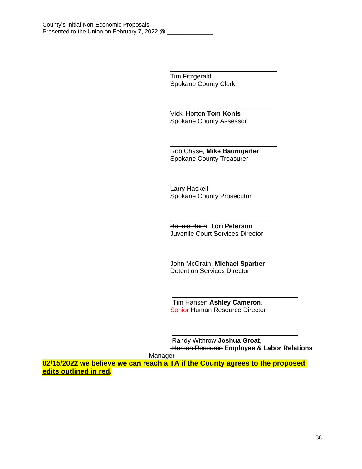Tim Fitzgerald Spokane County Clerk

 $\overline{a}$ 

 $\overline{a}$ 

 $\overline{a}$ 

 $\overline{a}$ 

Vicki Horton **Tom Konis** Spokane County Assessor

 $\overline{a}$ Rob Chase, **Mike Baumgarter** Spokane County Treasurer

Larry Haskell Spokane County Prosecutor

 $\overline{a}$ Bonnie Bush, **Tori Peterson** Juvenile Court Services Director

John McGrath, **Michael Sparber** Detention Services Director

 Tim Hansen **Ashley Cameron**, Senior Human Resource Director

Randy Withrow **Joshua Groat**, Human Resource **Employee & Labor Relations** 

Manager

**02/15/2022 we believe we can reach a TA if the County agrees to the proposed edits outlined in red.**

 $\overline{a}$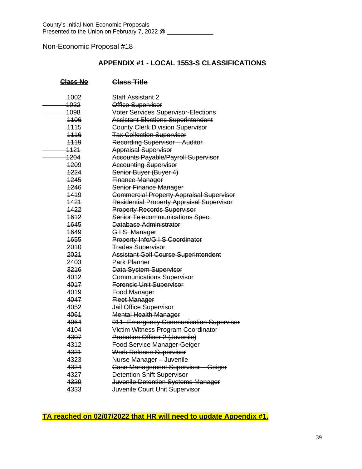# **APPENDIX #1** - **LOCAL 1553-S CLASSIFICATIONS**

| <b>Class No</b> | <b>Class Title</b>                               |
|-----------------|--------------------------------------------------|
| 4002            | <b>Staff Assistant 2</b>                         |
| 1022            | Office Supervisor                                |
| 1098            | <b>Voter Services Supervisor-Elections</b>       |
| 4106            | <b>Assistant Elections Superintendent</b>        |
| 4445            | <b>County Clerk Division Supervisor</b>          |
| 4446            | <b>Tax Collection Supervisor</b>                 |
| 4449            | <b>Recording Supervisor - Auditor</b>            |
| <del>1121</del> | <b>Appraisal Supervisor</b>                      |
| 1204            | <b>Accounts Payable/Payroll Supervisor</b>       |
| 1209            | <b>Accounting Supervisor</b>                     |
| 1224            | Senior Buyer (Buyer 4)                           |
| 1245            | Finance Manager                                  |
| 4246            | Senior Finance Manager                           |
| 1419            | <b>Commercial Property Appraisal Supervisor</b>  |
| 1421            | <b>Residential Property Appraisal Supervisor</b> |
| 1422            | <b>Property Records Supervisor</b>               |
| 1612            | Senior Telecommunications Spec.                  |
| 1645            | Database Administrator                           |
| 1649            | GIS Manager                                      |
| 1655            | Property Info/G I S Coordinator                  |
| 2010            | <b>Trades Supervisor</b>                         |
| 2021            | <b>Assistant Golf Course Superintendent</b>      |
| 2403            | <b>Park Planner</b>                              |
| 3216            | Data System Supervisor                           |
| 4012            | <b>Communications Supervisor</b>                 |
| 4017            | <b>Forensic Unit Supervisor</b>                  |
| 4019            | Food Manager                                     |
| 4047            | <b>Fleet Manager</b>                             |
| 4052            | Jail Office Supervisor                           |
| 4061            | <b>Mental Health Manager</b>                     |
| 4064            | 911- Emergency Communication Supervisor          |
| 4104            | Victim Witness Program Coordinator               |
| 4307            | Probation Officer 2 (Juvenile)                   |
| 4312            | <b>Food Service Manager-Geiger</b>               |
| 4321            | Work Release Supervisor                          |
| 4323            | Nurse Manager - Juvenile                         |
| 4324            | <b>Case Management Supervisor - Geiger</b>       |
| 4327            | <b>Detention Shift Supervisor</b>                |
| 4329            | Juvenile Detention Systems Manager               |
| 4333            | Juvenile Court Unit Supervisor                   |

**TA reached on 02/07/2022 that HR will need to update Appendix #1.**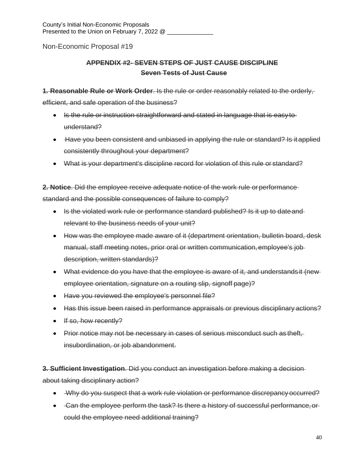# **APPENDIX #2- SEVEN STEPS OF JUST CAUSE DISCIPLINE Seven Tests of Just Cause**

**1. Reasonable Rule or Work Order**. Is the rule or order reasonably related to the orderly,

efficient, and safe operation of the business?

- Is the rule or instruction straightforward and stated in language that is easy to understand?
- Have you been consistent and unbiased in applying the rule or standard? Is it applied consistently throughout your department?
- What is your department's discipline record for violation of this rule or standard?

**2. Notice**. Did the employee receive adequate notice of the work rule or performance standard and the possible consequences of failure to comply?

- Is the violated work rule or performance standard published? Is it up to date and relevant to the business needs of your unit?
- How was the employee made aware of it (department orientation, bulletin board, desk manual, staff meeting notes, prior oral or written communication, employee's job description, written standards)?
- What evidence do you have that the employee is aware of it, and understands it (newemployee orientation, signature on a routing slip, signoff page)?
- Have you reviewed the employee's personnel file?
- Has this issue been raised in performance appraisals or previous disciplinary actions?
- $\cdot$  If so, how recently?
- Prior notice may not be necessary in cases of serious misconduct such as theft, insubordination, or job abandonment.

**3. Sufficient Investigation**. Did you conduct an investigation before making a decision about taking disciplinary action?

- Why do you suspect that a work rule violation or performance discrepancy occurred?
- Gan the employee perform the task? Is there a history of successful performance, orcould the employee need additional training?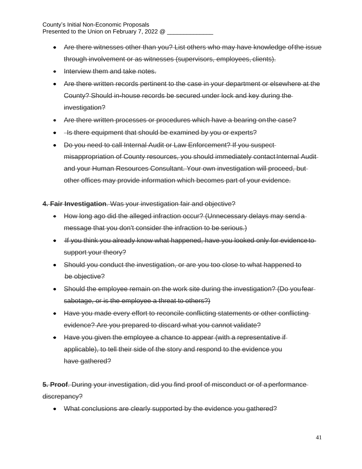- Are there witnesses other than you? List others who may have knowledge ofthe issue through involvement or as witnesses (supervisors, employees, clients).
- Interview them and take notes.
- Are there written records pertinent to the case in your department or elsewhere at the County? Should in-house records be secured under lock and key during the investigation?
- Are there written processes or procedures which have a bearing on the case?
- He there equipment that should be examined by you or experts?
- Do you need to call Internal Audit or Law Enforcement? If you suspect misappropriation of County resources, you should immediately contact Internal Auditand your Human Resources Consultant. Your own investigation will proceed, but other offices may provide information which becomes part of your evidence.

**4. Fair Investigation**. Was your investigation fair and objective?

- How long ago did the alleged infraction occur? (Unnecessary delays may send a message that you don't consider the infraction to be serious.)
- If you think you already know what happened, have you looked only for evidence to support your theory?
- Should you conduct the investigation, or are you too close to what happened to be objective?
- Should the employee remain on the work site during the investigation? (Do youfear sabotage, or is the employee a threat to others?)
- Have you made every effort to reconcile conflicting statements or other conflicting evidence? Are you prepared to discard what you cannot validate?
- Have you given the employee a chance to appear (with a representative if applicable), to tell their side of the story and respond to the evidence you have gathered?

**5. Proof**. During your investigation, did you find proof of misconduct or of a performance discrepancy?

• What conclusions are clearly supported by the evidence you gathered?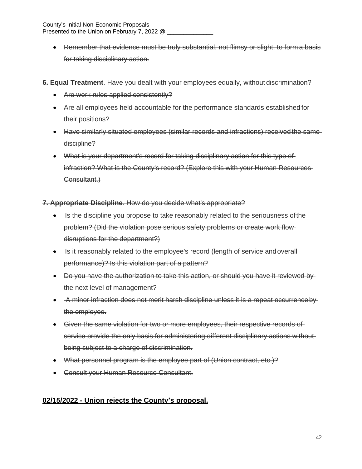Remember that evidence must be truly substantial, not flimsy or slight, to form a basis for taking disciplinary action.

**6. Equal Treatment**. Have you dealt with your employees equally, without discrimination?

- Are work rules applied consistently?
- Are all employees held accountable for the performance standards established for their positions?
- Have similarly situated employees (similar records and infractions) received the same discipline?
- What is your department's record for taking disciplinary action for this type of infraction? What is the County's record? (Explore this with your Human Resources Consultant.)

# **7. Appropriate Discipline**. How do you decide what's appropriate?

- Is the discipline you propose to take reasonably related to the seriousness of the problem? (Did the violation pose serious safety problems or create work flow disruptions for the department?)
- Is it reasonably related to the employee's record (length of service and overall performance)? Is this violation part of a pattern?
- Do you have the authorization to take this action, or should you have it reviewed by the next level of management?
- A minor infraction does not merit harsh discipline unless it is a repeat occurrenceby the employee.
- Given the same violation for two or more employees, their respective records of service provide the only basis for administering different disciplinary actions without being subject to a charge of discrimination.
- What personnel program is the employee part of (Union contract, etc.)?
- Consult your Human Resource Consultant.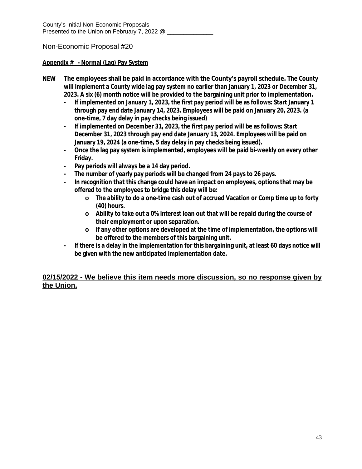#### **Appendix # \_- Normal (Lag) Pay System**

- **NEW The employees shall be paid in accordance with the County's payroll schedule. The County will implement a County wide lag pay system no earlier than January 1, 2023 or December 31, 2023. A six (6) month notice will be provided to the bargaining unit prior to implementation.**
	- **- If implemented on January 1, 2023, the first pay period will be as follows: Start January 1 through pay end date January 14, 2023. Employees will be paid on January 20, 2023. (a one-time, 7 day delay in pay checks being issued)**
	- **- If implemented on December 31, 2023, the first pay period will be as follows: Start December 31, 2023 through pay end date January 13, 2024. Employees will be paid on January 19, 2024 (a one-time, 5 day delay in pay checks being issued).**
	- **- Once the lag pay system is implemented, employees will be paid bi-weekly on every other Friday.**
	- **- Pay periods will always be a 14 day period.**
	- **- The number of yearly pay periods will be changed from 24 pays to 26 pays.**
	- **- In recognition that this change could have an impact on employees, options that may be offered to the employees to bridge this delay will be:**
		- **o The ability to do a one-time cash out of accrued Vacation or Comp time up to forty (40) hours.**
		- **o Ability to take out a 0% interest loan out that will be repaid during the course of their employment or upon separation.**
		- **o If any other options are developed at the time of implementation, the options will be offered to the members of this bargaining unit.**
	- **- If there is a delay in the implementation for this bargaining unit, at least 60 days notice will be given with the new anticipated implementation date.**

## **02/15/2022 - We believe this item needs more discussion, so no response given by the Union.**